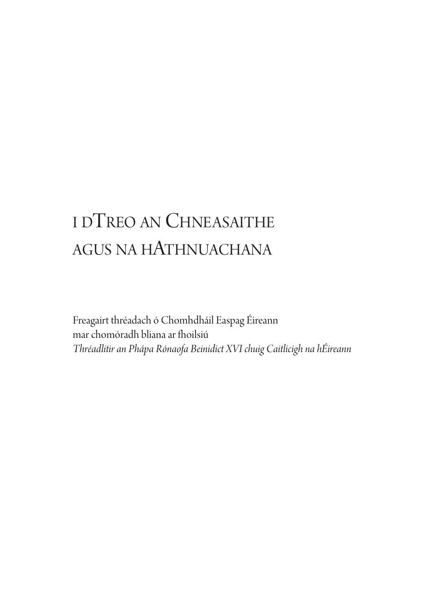# i dTreo an ChneasaiThe agus na haThnuaChana

Freagairt thréadach ó Chomhdháil Easpag Éireann mar chomóradh bliana ar fhoilsiú *Thréadlitir an Phápa Rónaofa Beinidict XVI chuig Caitlicigh na hÉireann*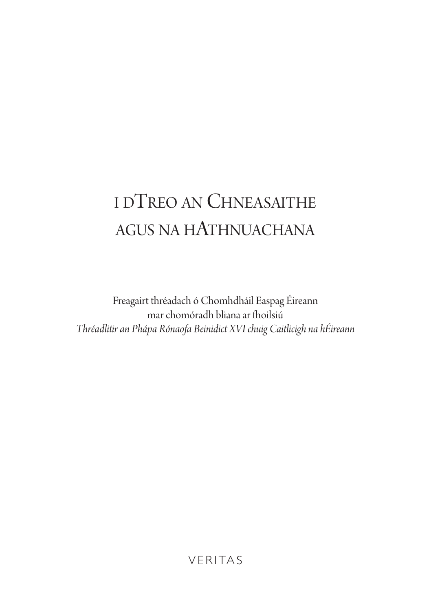# i dTreo an ChneasaiThe agus na haThnuaChana

Freagairt thréadach ó Chomhdháil Easpag Éireann mar chomóradh bliana ar fhoilsiú *Thréadlitir an Phápa Rónaofa Beinidict XVI chuig Caitlicigh na hÉireann*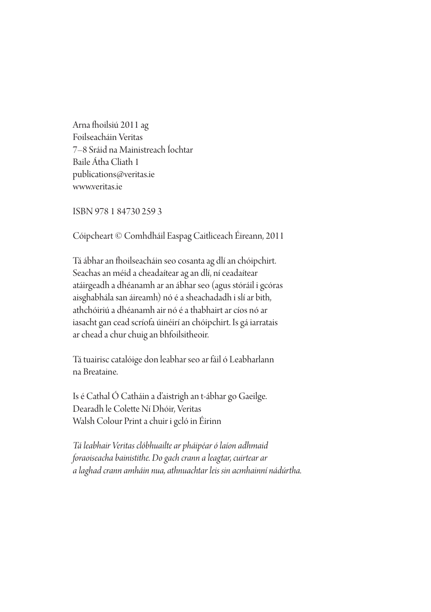Arna fhoilsiú 2011 ag Foilseacháin Veritas 7–8 sráid na Mainistreach Íochtar Baile Átha Cliath 1 publications@veritas.ie www.veritas.ie

isBn 978 1 84730 259 3

Cóipcheart © Comhdháil easpag Caitliceach Éireann, 2011

Tá ábhar an fhoilseacháin seo cosanta ag dlí an chóipchirt. Seachas an méid a cheadaítear ag an dlí, ní ceadaítear atáirgeadh a dhéanamh ar an ábhar seo (agus stóráil i gcóras aisghabhála san áireamh) nó é a sheachadadh i slí ar bith, athchóiriú a dhéanamh air nó é a thabhairt ar cíos nó ar iasacht gan cead scríofa úinéirí an chóipchirt. Is gá iarratais ar chead a chur chuig an bhfoilsitheoir.

Tá tuairisc catalóige don leabhar seo ar fáil ó Leabharlann na Breataine.

Is é Cathal Ó Catháin a d'aistrigh an t-ábhar go Gaeilge. Dearadh le Colette Ní Dhóir, Veritas Walsh Colour Print a chuir i gcló in Éirinn

*Tá leabhair Veritas clóbhuailte ar pháipéarólaíon adhmaid foraoiseacha bainistithe. Dogach crann a leagtar, cuirtear ar a laghad crann amháin nua, athnuachtar leis sin acmhainní nádúrtha.*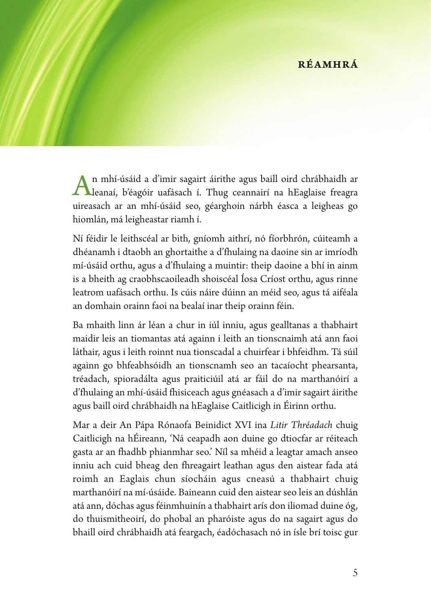#### **réamhrá**

An mhí-úsáid <sup>a</sup> d'imir sagairt áirithe agus baill oird chrábhaidh ar leanaí, b'éagóir uafásach í. Thug ceannairí na hEaglaise freagra uireasach ar an mhí-úsáid seo, géarghoin nárbh éasca a leigheas go hiomlán, má leigheastar riamh í.

Ní féidir le leithscéal ar bith, gníomh aithrí, nó fíorbhrón, cúiteamh a dhéanamh i dtaobh an ghortaithe a d'fhulaing na daoine sin ar imríodh mí-úsáid orthu, agus a d'fhulaing a muintir: theip daoine a bhí in ainm is a bheith ag craobhscaoileadh shoiscéal Íosa Críost orthu, agus rinne leatrom uafásach orthu. Is cúis náire dúinn an méid seo, agus tá aiféala an domhain orainn faoi na bealaí inar theip orainn féin.

Ba mhaith linn ár léan a chur in iúl inniu, agus gealltanas a thabhairt maidir leis an tiomantas atá againn i leith an tionscnaimh atá ann faoi láthair, agus i leith roinnt nua tionscadal a chuirfear i bhfeidhm. Tá súil againn go bhfeabhsóidh an tionscnamh seo an tacaíocht phearsanta, tréadach, spioradálta agus praiticiúil atá ar fáil do na marthanóirí a d'fhulaing an mhí-úsáid fhisiceach agus gnéasach a d'imir sagairt áirithe agus baill oird chrábhaidh na hEaglaise Caitlicigh in Éirinn orthu.

Mar a deir An Pápa Rónaofa Beinidict XVI ina *Litir Thréadach* chuig Caitlicigh na hÉireann, 'Ná ceapadh aon duine go dtiocfar ar réiteach gasta ar an fhadhb phianmhar seo.' Níl sa mhéid a leagtar amach anseo inniu ach cuid bheag den fhreagairt leathan agus den aistear fada atá roimh an Eaglais chun síocháin agus cneasú a thabhairt chuig marthanóirí na mí-úsáide. Baineann cuid den aistear seo leis an dúshlán atá ann, dóchas agus féinmhuinín a thabhairt arís don iliomad duine óg, do thuismitheoirí, do phobal an pharóiste agus do na sagairt agus do bhaill oird chrábhaidh atá feargach, éadóchasach nó in ísle brí toisc gur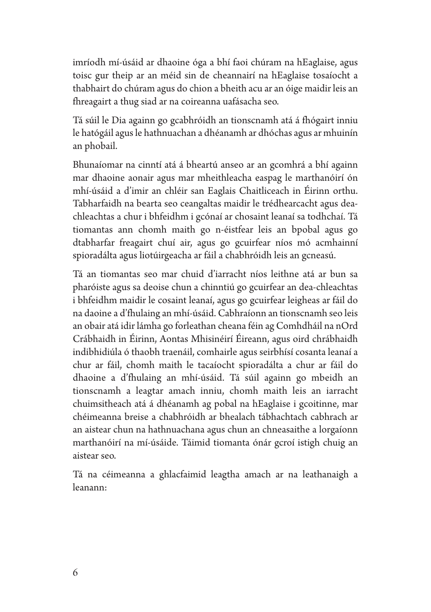imríodh mí-úsáid ar dhaoine óga a bhí faoi chúram na hEaglaise, agus toisc gur theip ar an méid sin de cheannairí na hEaglaise tosaíocht a thabhairt do chúram agus do chion a bheith acu ar an óige maidir leis an fhreagairt a thug siad ar na coireanna uafásacha seo.

Tá súil le Dia againn go gcabhróidh an tionscnamh atá á fhógairt inniu le hatógáil agusle hathnuachan a dhéanamh ar dhóchas agus ar mhuinín an phobail.

Bhunaíomar na cinntí atá á bheartú anseo ar an gcomhrá a bhí againn mar dhaoine aonair agus mar mheithleacha easpag le marthanóirí ón mhí-úsáid a d'imir an chléir san Eaglais Chaitliceach in Éirinn orthu. Tabharfaidh na bearta seo ceangaltas maidir le trédhearcacht agus deachleachtas a chur i bhfeidhm i gcónaí ar chosaint leanaí sa todhchaí. Tá tiomantas ann chomh maith go n-éistfear leis an bpobal agus go dtabharfar freagairt chuí air, agus go gcuirfear níos mó acmhainní spioradálta agus liotúirgeacha ar fáil a chabhróidh leis an gcneasú.

Tá an tiomantas seo mar chuid d'iarracht níos leithne atá ar bun sa pharóiste agus sa deoise chun a chinntiú go gcuirfear an dea-chleachtas i bhfeidhm maidir le cosaint leanaí, agus go gcuirfear leigheas ar fáil do na daoine a d'fhulaing an mhí-úsáid. Cabhraíonn an tionscnamh seo leis an obair atá idir lámha go forleathan cheana féin ag Comhdháil na nOrd Crábhaidh in Éirinn, Aontas Mhisinéirí Éireann, agus oird chrábhaidh indibhidiúla ó thaobh traenáil, comhairle agus seirbhísí cosanta leanaí a chur ar fáil, chomh maith le tacaíocht spioradálta a chur ar fáil do dhaoine a d'fhulaing an mhí-úsáid. Tá súil againn go mbeidh an tionscnamh a leagtar amach inniu, chomh maith leis an iarracht chuimsitheach atá á dhéanamh ag pobal na hEaglaise i gcoitinne, mar chéimeanna breise a chabhróidh ar bhealach tábhachtach cabhrach ar an aistear chun na hathnuachana agus chun an chneasaithe a lorgaíonn marthanóirí na mí-úsáide. Táimid tiomanta ónár gcroí istigh chuig an aistear seo.

Tá na céimeanna a ghlacfaimid leagtha amach ar na leathanaigh a leanann: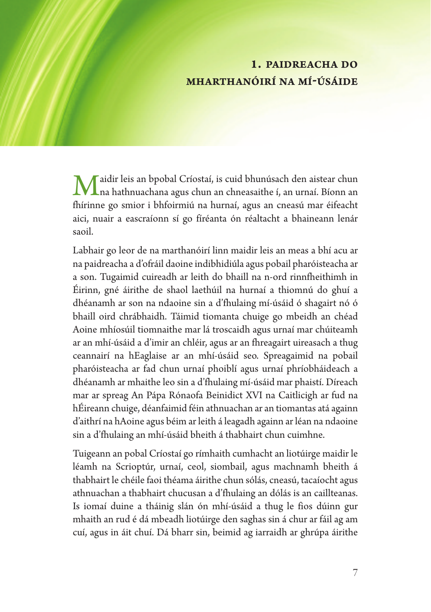#### **1. paidreacha do mharthanóirí na mí-úsáide**

Maidir leis an bpobal Críostaí, is cuid bhunúsach den aistear chun na hathnuachana agus chun an chneasaithe í, an urnaí. Bíonn an fhírinne go smior i bhfoirmiú na hurnaí, agus an cneasú mar éifeacht aici, nuair a eascraíonn sí go fíréanta ón réaltacht a bhaineann lenár saoil.

Labhair go leor de na marthanóirí linn maidir leis an meas a bhí acu ar na paidreacha a d'ofráil daoine indibhidiúla agus pobail pharóisteacha ar a son. Tugaimid cuireadh ar leith do bhaill na n-ord rinnfheithimh in Éirinn, gné áirithe de shaol laethúil na hurnaí a thiomnú do ghuí a dhéanamh ar son na ndaoine sin a d'fhulaing mí-úsáid ó shagairt nó ó bhaill oird chrábhaidh. Táimid tiomanta chuige go mbeidh an chéad Aoine mhíosúil tiomnaithe mar lá troscaidh agus urnaí mar chúiteamh ar an mhí-úsáid a d'imir an chléir, agus ar an fhreagairt uireasach a thug ceannairí na hEaglaise ar an mhí-úsáid seo. Spreagaimid na pobail pharóisteacha ar fad chun urnaí phoiblí agus urnaí phríobháideach a dhéanamh ar mhaithe leo sin a d'fhulaing mí-úsáid mar phaistí. Díreach mar ar spreag An Pápa Rónaofa Beinidict XVI na Caitlicigh ar fud na hÉireann chuige, déanfaimid féin athnuachan ar an tiomantas atá againn d'aithrí na hAoine agus béim ar leith á leagadh againn ar léan na ndaoine sin a d'fhulaing an mhí-úsáid bheith á thabhairt chun cuimhne.

Tuigeann an pobal Críostaí go rímhaith cumhacht an liotúirge maidir le léamh na Scrioptúr, urnaí, ceol, siombail, agus machnamh bheith á thabhairt le chéile faoi théama áirithe chun sólás, cneasú, tacaíocht agus athnuachan a thabhairt chucusan a d'fhulaing an dólás is an caillteanas. Is iomaí duine a tháinig slán ón mhí-úsáid a thug le fios dúinn gur mhaith an rud é dá mbeadh liotúirge den saghas sin á chur ar fáil ag am cuí, agus in áit chuí. Dá bharr sin, beimid ag iarraidh ar ghrúpa áirithe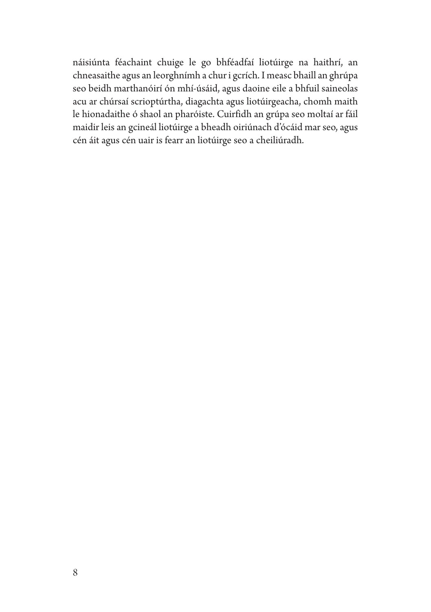náisiúnta féachaint chuige le go bhféadfaí liotúirge na haithrí, an chneasaithe agus an leorghnímh a chur i gcrích. I measc bhaill an ghrúpa seo beidh marthanóirí ón mhí-úsáid, agus daoine eile a bhfuil saineolas acu ar chúrsaí scrioptúrtha, diagachta agus liotúirgeacha, chomh maith le hionadaithe ó shaol an pharóiste. Cuirfidh an grúpa seo moltaí ar fáil maidir leis an gcineál liotúirge a bheadh oiriúnach d'ócáid mar seo, agus cén áit agus cén uair is fearr an liotúirge seo a cheiliúradh.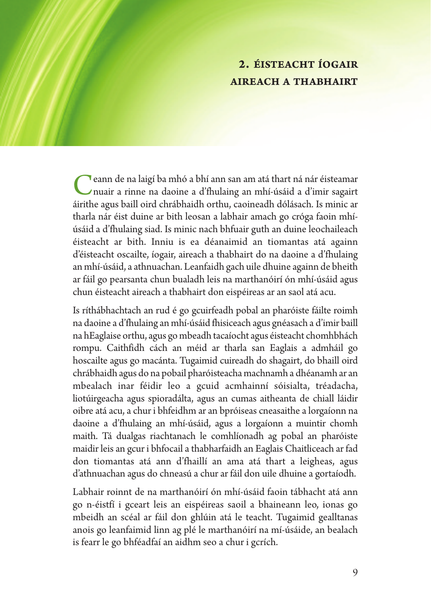### **2. éisteacht íogair aireach a thabhairt**

Ceann de na laigí ba mhó <sup>a</sup> bhí ann san am atá thart ná nár éisteamar nuair a rinne na daoine a d'fhulaing an mhí-úsáid a d'imir sagairt áirithe agus baill oird chrábhaidh orthu, caoineadh dólásach. Is minic ar tharla nár éist duine ar bith leosan a labhair amach go cróga faoin mhíúsáid a d'fhulaing siad. Is minic nach bhfuair guth an duine leochaileach éisteacht ar bith. Inniu is ea déanaimid an tiomantas atá againn d'éisteacht oscailte, íogair, aireach a thabhairt do na daoine a d'fhulaing an mhí-úsáid, a athnuachan. Leanfaidh gach uile dhuine againn de bheith ar fáil go pearsanta chun bualadh leis na marthanóirí ón mhí-úsáid agus chun éisteacht aireach a thabhairt don eispéireas ar an saol atá acu.

Is ríthábhachtach an rud é go gcuirfeadh pobal an pharóiste fáilte roimh na daoine a d'fhulaing an mhí-úsáid fhisiceach agus gnéasach a d'imir baill na hEaglaise orthu, agus gombeadh tacaíocht agus éisteacht chomhbhách rompu. Caithfidh cách an méid ar tharla san Eaglais a admháil go hoscailte agus go macánta. Tugaimid cuireadh do shagairt, do bhaill oird chrábhaidh agus do na pobail pharóisteacha machnamh a dhéanamh ar an mbealach inar féidir leo a gcuid acmhainní sóisialta, tréadacha, liotúirgeacha agus spioradálta, agus an cumas aitheanta de chiall láidir oibre atá acu, a chur i bhfeidhm ar an bpróiseas cneasaithe a lorgaíonn na daoine a d'fhulaing an mhí-úsáid, agus a lorgaíonn a muintir chomh maith. Tá dualgas riachtanach le comhlíonadh ag pobal an pharóiste maidir leis an gcur i bhfocail a thabharfaidh an Eaglais Chaitliceach ar fad don tiomantas atá ann d'fhaillí an ama atá thart a leigheas, agus d'athnuachan agus do chneasú a chur ar fáil don uile dhuine a gortaíodh.

Labhair roinnt de na marthanóirí ón mhí-úsáid faoin tábhacht atá ann go n-éistfí i gceart leis an eispéireas saoil a bhaineann leo, ionas go mbeidh an scéal ar fáil don ghlúin atá le teacht. Tugaimid gealltanas anois go leanfaimid linn ag plé le marthanóirí na mí-úsáide, an bealach is fearr le go bhféadfaí an aidhm seo a chur i gcrích.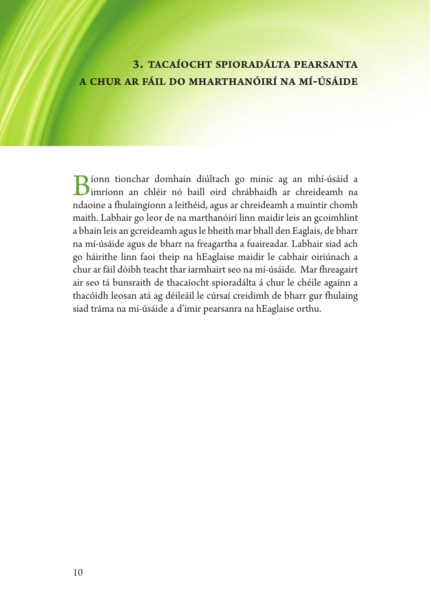#### **3. tacaíocht spioradálta pearsanta a chur ar fáil do mharthanóirí na mí-úsáide**

Bíonn tionchar domhain diúltach go minic ag an mhí-úsáid <sup>a</sup> imríonn an chléir nó baill oird chrábhaidh ar chreideamh na ndaoine a fhulaingíonn a leithéid, agus ar chreideamh a muintir chomh maith. Labhair go leor de na marthanóirí linn maidir leis an gcoimhlint a bhain leis an gcreideamh agusle bheith mar bhall den Eaglais, de bharr na mí-úsáide agus de bharr na freagartha a fuaireadar. Labhair siad ach go háirithe linn faoi theip na hEaglaise maidir le cabhair oiriúnach a chur ar fáil dóibh teacht thar iarmhairt seo na mí-úsáide. Mar fhreagairt air seo tá bunsraith de thacaíocht spioradálta á chur le chéile againn a thacóidh leosan atá ag déileáil le cúrsaí creidimh de bharr gur fhulaing siad tráma na mí-úsáide a d'imir pearsanra na hEaglaise orthu.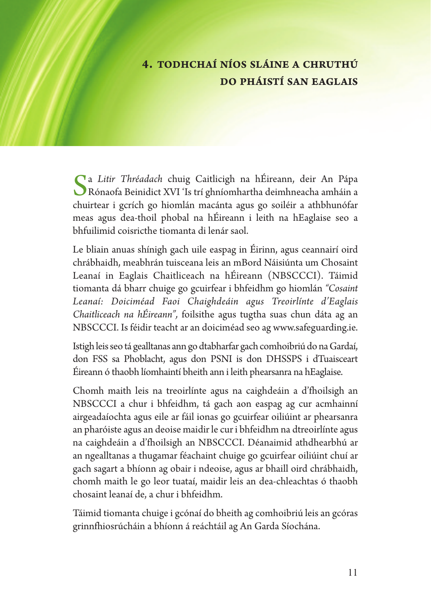# **4. todhchaí níos sláine a chruthú do pháistí san eaglais**

Sa *Litir Thréadach* chuig Caitlicigh na hÉireann, deir An Pápa Rónaofa Beinidict XVI 'Is trí ghníomhartha deimhneacha amháin a chuirtear i gcrích go hiomlán macánta agus go soiléir a athbhunófar meas agus dea-thoil phobal na hÉireann i leith na hEaglaise seo a bhfuilimid coisricthe tiomanta di lenár saol.

Le bliain anuas shínigh gach uile easpag in Éirinn, agus ceannairí oird chrábhaidh, meabhrán tuisceana leis an mBord Náisiúnta um Chosaint Leanaí in Eaglais Chaitliceach na hÉireann (NBSCCCI). Táimid tiomanta dá bharr chuige go gcuirfear i bhfeidhm go hiomlán *"Cosaint Leanaí: Doiciméad Faoi Chaighdeáin agus Treoirlínte d'Eaglais Chaitliceach na hÉireann",* foilsithe agus tugtha suas chun dáta ag an NBSCCCI. Is féidir teacht ar an doiciméad seo ag www.safeguarding.ie.

Istigh leis seo tá gealltanas ann go dtabharfar gach comhoibriú do na Gardaí, don FSS sa Phoblacht, agus don PSNI is don DHSSPS i dTuaisceart Éireann ó thaobh líomhaintí bheith ann i leith phearsanra na hEaglaise.

Chomh maith leis na treoirlínte agus na caighdeáin a d'fhoilsigh an NBSCCCI a chur i bhfeidhm, tá gach aon easpag ag cur acmhainní airgeadaíochta agus eile ar fáil ionas go gcuirfear oiliúint ar phearsanra an pharóiste agus an deoise maidir le cur i bhfeidhm na dtreoirlínte agus na caighdeáin a d'fhoilsigh an NBSCCCI. Déanaimid athdhearbhú ar an ngealltanas a thugamar féachaint chuige go gcuirfear oiliúint chuí ar gach sagart a bhíonn ag obair i ndeoise, agus ar bhaill oird chrábhaidh, chomh maith le go leor tuataí, maidir leis an dea-chleachtas ó thaobh chosaint leanaí de, a chur i bhfeidhm.

Táimid tiomanta chuige i gcónaí do bheith ag comhoibriú leis an gcóras grinnfhiosrúcháin a bhíonn á reáchtáil ag An Garda Síochána.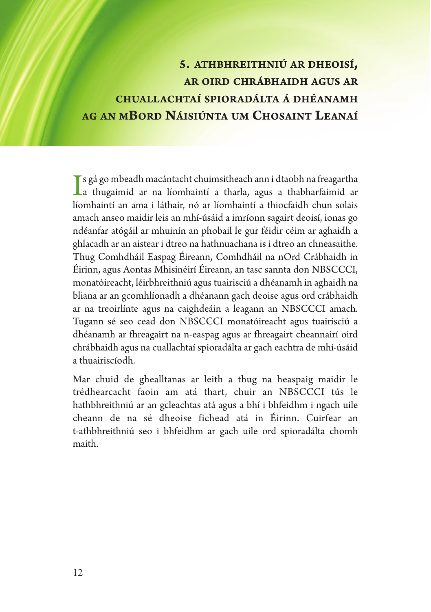# **5. athbhreithniú ar dheoisí, ar oird chrábhaidh agus ar chuallachtaí spioradálta á dhéanamh ag an mbord náisiúnta um chosaint leanaí**

Is gá go mbeadh macántacht chuimsitheach ann i dtaobh na freagartha<br>a thugaimid ar na líomhaintí a tharla, agus a thabharfaimid ar<br>líomhaintí ar agus i lítheir ná ar líomhaintí a thiosfaidh abun solais s gá go mbeadh macántacht chuimsitheach ann i dtaobh na freagartha líomhaintí an ama i láthair, nó ar líomhaintí a thiocfaidh chun solais amach anseo maidir leis an mhí-úsáid a imríonn sagairt deoisí, ionas go ndéanfar atógáil ar mhuinín an phobail le gur féidir céim ar aghaidh a ghlacadh ar an aistear i dtreo na hathnuachana is i dtreo an chneasaithe. Thug Comhdháil Easpag Éireann, Comhdháil na nOrd Crábhaidh in Éirinn, agus Aontas Mhisinéirí Éireann, an tasc sannta don NBSCCCI, monatóireacht, léirbhreithniú agus tuairisciú a dhéanamh in aghaidh na bliana ar an gcomhlíonadh a dhéanann gach deoise agus ord crábhaidh ar na treoirlínte agus na caighdeáin a leagann an NBSCCCI amach. Tugann sé seo cead don NBSCCCI monatóireacht agus tuairisciú a dhéanamh ar fhreagairt na n-easpag agus ar fhreagairt cheannairí oird chrábhaidh agus na cuallachtaí spioradálta ar gach eachtra de mhí-úsáid a thuairiscíodh.

Mar chuid de ghealltanas ar leith a thug na heaspaig maidir le trédhearcacht faoin am atá thart, chuir an NBSCCCI tús le hathbhreithniú ar an gcleachtas atá agus a bhí i bhfeidhm i ngach uile cheann de na sé dheoise fichead atá in Éirinn. Cuirfear an t-athbhreithniú seo i bhfeidhm ar gach uile ord spioradálta chomh maith.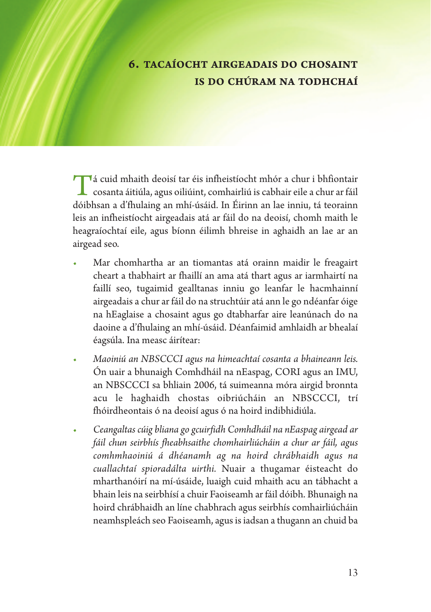### **6. tacaíocht airgeadais do chosaint is do chúram na todhchaí**

Tá cuid mhaith deoisí tar éis infheistíocht mhór <sup>a</sup> chur <sup>i</sup> bhfiontair cosanta áitiúla, agus oiliúint, comhairliú is cabhair eile a chur ar fáil dóibhsan a d'fhulaing an mhí-úsáid. In Éirinn an lae inniu, tá teorainn leis an infheistíocht airgeadais atá ar fáil do na deoisí, chomh maith le heagraíochtaí eile, agus bíonn éilimh bhreise in aghaidh an lae ar an airgead seo.

- *•* Mar chomhartha ar an tiomantas atá orainn maidir le freagairt cheart a thabhairt ar fhaillí an ama atá thart agus ar iarmhairtí na faillí seo, tugaimid gealltanas inniu go leanfar le hacmhainní airgeadais a chur ar fáil do na struchtúir atá ann le go ndéanfar óige na hEaglaise a chosaint agus go dtabharfar aire leanúnach do na daoine a d'fhulaing an mhí-úsáid. Déanfaimid amhlaidh ar bhealaí éagsúla. Ina measc áirítear:
- *• Maoiniú an NBSCCCI agus na himeachtaí cosanta a bhaineann leis.* Ón uair a bhunaigh Comhdháil na nEaspag, CORI agus an IMU, an NBSCCCI sa bhliain 2006, tá suimeanna móra airgid bronnta acu le haghaidh chostas oibriúcháin an NBSCCCI, trí fhóirdheontais ó na deoisí agus ó na hoird indibhidiúla.
- *• Ceangaltas cúig bliana go gcuirfidh Comhdháil na nEaspag airgead ar fáil chun seirbhís fheabhsaithe chomhairliúcháin a chur ar fáil, agus comhmhaoiniú á dhéanamh ag na hoird chrábhaidh agus na cuallachtaí spioradálta uirthi.* Nuair a thugamar éisteacht do mharthanóirí na mí-úsáide, luaigh cuid mhaith acu an tábhacht a bhain leis na seirbhísí a chuir Faoiseamh ar fáil dóibh. Bhunaigh na hoird chrábhaidh an líne chabhrach agus seirbhís comhairliúcháin neamhspleách seo Faoiseamh, agusisiadsan a thugann an chuid ba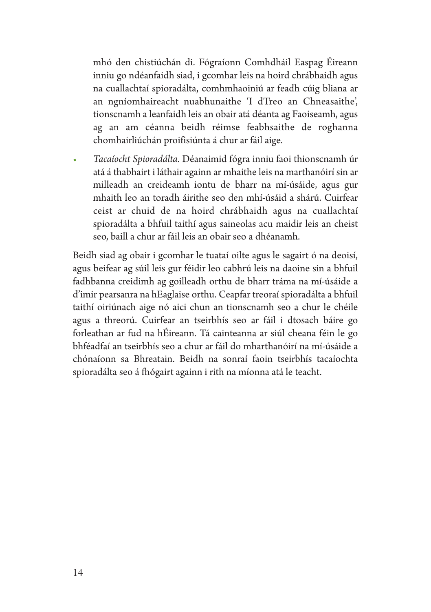mhó den chistiúchán di. Fógraíonn Comhdháil Easpag Éireann inniu go ndéanfaidh siad, i gcomhar leis na hoird chrábhaidh agus na cuallachtaí spioradálta, comhmhaoiniú ar feadh cúig bliana ar an ngníomhaireacht nuabhunaithe 'I dTreo an Chneasaithe', tionscnamh a leanfaidh leis an obair atá déanta ag Faoiseamh, agus ag an am céanna beidh réimse feabhsaithe de roghanna chomhairliúchán proifisiúnta á chur ar fáil aige.

*• Tacaíocht Spioradálta.* Déanaimid fógra inniu faoi thionscnamh úr atá á thabhairt i láthair againn ar mhaithe leis na marthanóirí sin ar milleadh an creideamh iontu de bharr na mí-úsáide, agus gur mhaith leo an toradh áirithe seo den mhí-úsáid a shárú. Cuirfear ceist ar chuid de na hoird chrábhaidh agus na cuallachtaí spioradálta a bhfuil taithí agus saineolas acu maidir leis an cheist seo, baill a chur ar fáil leis an obair seo a dhéanamh.

Beidh siad ag obair i gcomhar le tuataí oilte agus le sagairt ó na deoisí, agus beifear ag súil leis gur féidir leo cabhrú leis na daoine sin a bhfuil fadhbanna creidimh ag goilleadh orthu de bharr tráma na mí-úsáide a d'imir pearsanra na hEaglaise orthu. Ceapfar treoraí spioradálta a bhfuil taithí oiriúnach aige nó aici chun an tionscnamh seo a chur le chéile agus a threorú. Cuirfear an tseirbhís seo ar fáil i dtosach báire go forleathan ar fud na hÉireann. Tá cainteanna ar siúl cheana féin le go bhféadfaí an tseirbhís seo a chur ar fáil do mharthanóirí na mí-úsáide a chónaíonn sa Bhreatain. Beidh na sonraí faoin tseirbhís tacaíochta spioradálta seo á fhógairt againn i rith na míonna atá le teacht.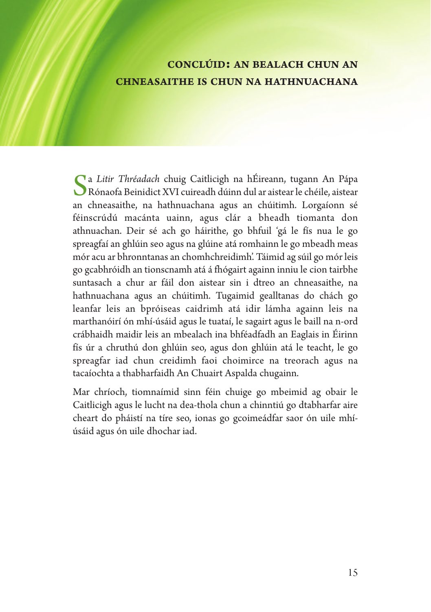#### **conclúid: an bealach chun an chneasaithe is chun na hathnuachana**

Sa *Litir Thréadach* chuig Caitlicigh na hÉireann, tugann An Pápa Rónaofa Beinidict XVI cuireadh dúinn dul ar aistear le chéile, aistear an chneasaithe, na hathnuachana agus an chúitimh. Lorgaíonn sé féinscrúdú macánta uainn, agus clár a bheadh tiomanta don athnuachan. Deir sé ach go háirithe, go bhfuil 'gá le fís nua le go spreagfaí an ghlúin seo agus na glúine atá romhainn le go mbeadh meas mór acu ar bhronntanas an chomhchreidimh'. Táimid ag súil go mór leis go gcabhróidh an tionscnamh atá á fhógairt againn inniu le cion tairbhe suntasach a chur ar fáil don aistear sin i dtreo an chneasaithe, na hathnuachana agus an chúitimh. Tugaimid gealltanas do chách go leanfar leis an bpróiseas caidrimh atá idir lámha againn leis na marthanóirí ón mhí-úsáid agus le tuataí, le sagairt agus le baill na n-ord crábhaidh maidir leis an mbealach ina bhféadfadh an Eaglais in Éirinn fís úr a chruthú don ghlúin seo, agus don ghlúin atá le teacht, le go spreagfar iad chun creidimh faoi choimirce na treorach agus na tacaíochta a thabharfaidh An Chuairt Aspalda chugainn.

Mar chríoch, tiomnaímid sinn féin chuige go mbeimid ag obair le Caitlicigh agus le lucht na dea-thola chun a chinntiú go dtabharfar aire cheart do pháistí na tíre seo, ionas go gcoimeádfar saor ón uile mhíúsáid agus ón uile dhochar iad.